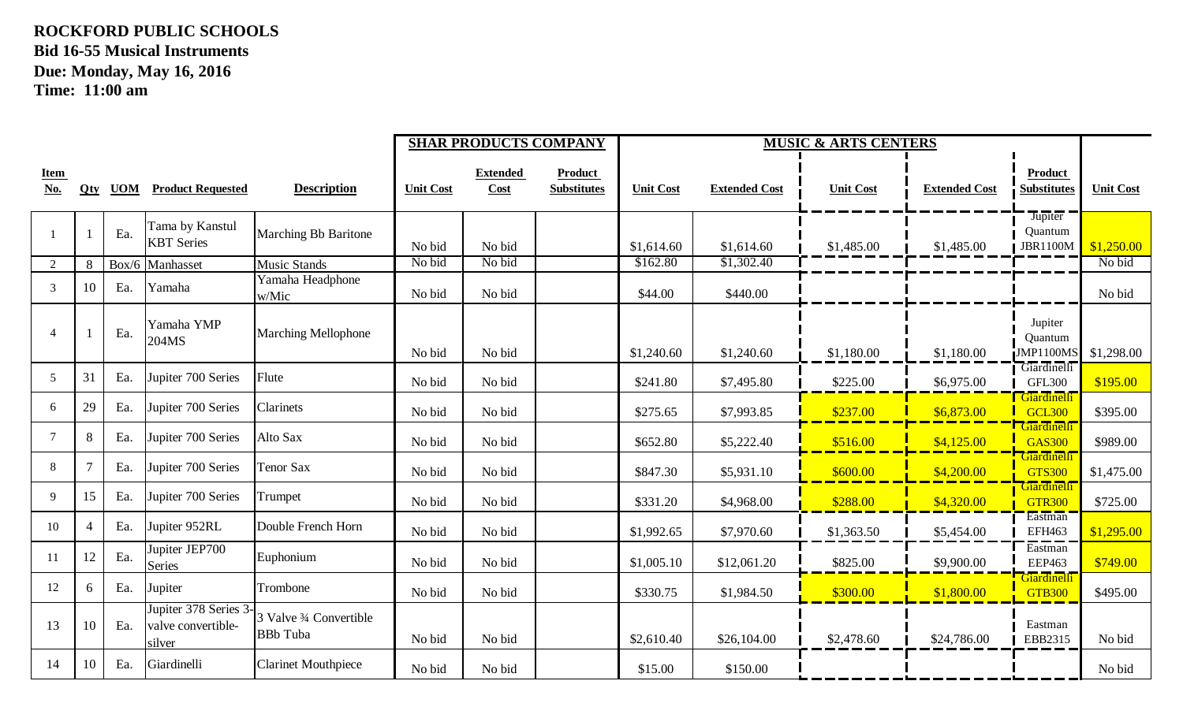|                    |     |     |                                                       |                                            |                  | <b>SHAR PRODUCTS COMPANY</b> |                                      | <b>MUSIC &amp; ARTS CENTERS</b> |                      |                  |                      |                                        |                  |
|--------------------|-----|-----|-------------------------------------------------------|--------------------------------------------|------------------|------------------------------|--------------------------------------|---------------------------------|----------------------|------------------|----------------------|----------------------------------------|------------------|
| <b>Item</b><br>No. | Qty |     | <b>UOM</b> Product Requested                          | <b>Description</b>                         | <b>Unit Cost</b> | <b>Extended</b><br>Cost      | <b>Product</b><br><b>Substitutes</b> | <b>Unit Cost</b>                | <b>Extended Cost</b> | <b>Unit Cost</b> | <b>Extended Cost</b> | Product<br><b>Substitutes</b>          | <b>Unit Cost</b> |
| $\mathbf{1}$       |     | Ea. | Tama by Kanstul<br><b>KBT</b> Series                  | <b>Marching Bb Baritone</b>                | No bid           | No bid                       |                                      | \$1,614.60                      | \$1,614.60           | \$1,485.00       | \$1,485.00           | Jupiter<br>Quantum<br><b>JBR1100M</b>  | \$1,250.00       |
| 2                  | 8   |     | Box/6 Manhasset                                       | <b>Music Stands</b>                        | No bid           | No bid                       |                                      | \$162.80                        | \$1,302.40           |                  |                      |                                        | No bid           |
| 3                  | 10  | Ea. | Yamaha                                                | Yamaha Headphone<br>w/Mic                  | No bid           | No bid                       |                                      | \$44.00                         | \$440.00             |                  |                      |                                        | No bid           |
| $\overline{4}$     |     | Ea. | Yamaha YMP<br>204MS                                   | <b>Marching Mellophone</b>                 | No bid           | No bid                       |                                      | \$1,240.60                      | \$1,240.60           | \$1,180.00       | \$1,180.00           | Jupiter<br>Quantum<br><b>JMP1100MS</b> | \$1,298.00       |
| 5                  | 31  | Ea. | Jupiter 700 Series                                    | Flute                                      | No bid           | No bid                       |                                      | \$241.80                        | \$7,495.80           | \$225.00         | \$6,975.00           | Giardinelli<br><b>GFL300</b>           | \$195.00         |
| 6                  | 29  | Ea. | Jupiter 700 Series                                    | Clarinets                                  | No bid           | No bid                       |                                      | \$275.65                        | \$7,993.85           | \$237.00         | \$6,873.00           | Giardinelli<br><b>GCL300</b>           | \$395.00         |
| $\overline{7}$     | 8   | Ea. | Jupiter 700 Series                                    | Alto Sax                                   | No bid           | No bid                       |                                      | \$652.80                        | \$5,222.40           | \$516.00         | \$4,125.00           | Giardinelli<br><b>GAS300</b>           | \$989.00         |
| 8                  |     | Ea. | Jupiter 700 Series                                    | Tenor Sax                                  | No bid           | No bid                       |                                      | \$847.30                        | \$5,931.10           | \$600.00         | \$4,200.00           | Giardinelli<br><b>GTS300</b>           | \$1,475.00       |
| 9                  | 15  | Ea. | Jupiter 700 Series                                    | Trumpet                                    | No bid           | No bid                       |                                      | \$331.20                        | \$4,968.00           | \$288.00         | \$4,320.00           | Giardinelli<br><b>GTR300</b>           | \$725.00         |
| 10                 | 4   | Ea. | Jupiter 952RL                                         | Double French Horn                         | No bid           | No bid                       |                                      | \$1,992.65                      | \$7,970.60           | \$1,363.50       | \$5,454.00           | Eastman<br>EFH463                      | \$1,295.00       |
| 11                 | 12  | Ea. | Jupiter JEP700<br>Series                              | Euphonium                                  | No bid           | No bid                       |                                      | \$1,005.10                      | \$12,061.20          | \$825.00         | \$9,900.00           | Eastman<br><b>EEP463</b>               | \$749.00         |
| 12                 | 6   | Ea. | Jupiter                                               | Trombone                                   | No bid           | No bid                       |                                      | \$330.75                        | \$1,984.50           | \$300.00         | \$1,800.00           | Giardinelli<br><b>GTB300</b>           | \$495.00         |
| 13                 | 10  | Ea. | Jupiter 378 Series 3-<br>valve convertible-<br>silver | 3 Valve 3⁄4 Convertible<br><b>BBb</b> Tuba | No bid           | No bid                       |                                      | \$2,610.40                      | \$26,104.00          | \$2,478.60       | \$24,786.00          | Eastman<br>EBB2315                     | No bid           |
| 14                 | 10  | Ea. | Giardinelli                                           | <b>Clarinet Mouthpiece</b>                 | No bid           | No bid                       |                                      | \$15.00                         | \$150.00             |                  |                      |                                        | No bid           |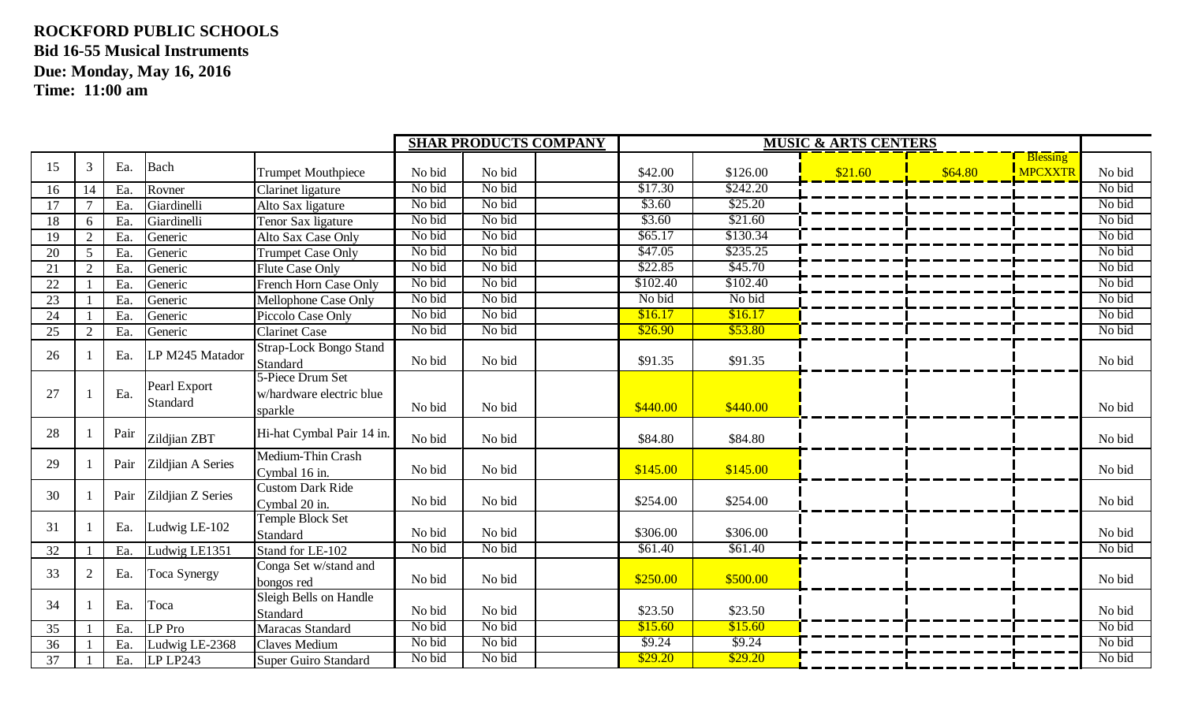|    |                             |      |                          |                                                         |        | <b>SHAR PRODUCTS COMPANY</b> | <b>MUSIC &amp; ARTS CENTERS</b> |          |         |         |                                   |        |
|----|-----------------------------|------|--------------------------|---------------------------------------------------------|--------|------------------------------|---------------------------------|----------|---------|---------|-----------------------------------|--------|
| 15 | 3                           | Ea.  | Bach                     | <b>Trumpet Mouthpiece</b>                               | No bid | No bid                       | \$42.00                         | \$126.00 | \$21.60 | \$64.80 | <b>Blessing</b><br><b>MPCXXTR</b> | No bid |
|    |                             |      |                          |                                                         | No bid | No bid                       | \$17.30                         | \$242.20 |         |         |                                   | No bid |
| 16 | 14                          | Ea.  | Rovner                   | Clarinet ligature                                       | No bid | No bid                       | \$3.60                          | \$25.20  |         |         |                                   | No bid |
| 17 |                             | Ea   | Giardinelli              | Alto Sax ligature                                       |        |                              |                                 |          |         |         |                                   |        |
| 18 | 6                           | Ea.  | Giardinelli              | Tenor Sax ligature                                      | No bid | No bid                       | \$3.60                          | \$21.60  |         |         |                                   | No bid |
| 19 | $\overline{2}$              | Ea.  | Generic                  | Alto Sax Case Only                                      | No bid | No bid                       | \$65.17                         | \$130.34 |         |         |                                   | No bid |
| 20 | 5                           | Ea   | Generic                  | <b>Trumpet Case Only</b>                                | No bid | No bid                       | \$47.05                         | \$235.25 |         |         |                                   | No bid |
| 21 | $\mathcal{D}_{\mathcal{L}}$ | Ea.  | Generic                  | <b>Flute Case Only</b>                                  | No bid | No bid                       | \$22.85                         | \$45.70  |         |         |                                   | No bid |
| 22 |                             | Ea   | Generic                  | French Horn Case Only                                   | No bid | No bid                       | \$102.40                        | \$102.40 |         |         |                                   | No bid |
| 23 |                             | Ea   | Generic                  | Mellophone Case Only                                    | No bid | No bid                       | No bid                          | No bid   |         |         |                                   | No bid |
| 24 |                             | Ea.  | Generic                  | Piccolo Case Only                                       | No bid | No bid                       | \$16.17                         | \$16.17  |         |         |                                   | No bid |
| 25 | 2                           | Ea.  | Generic                  | <b>Clarinet Case</b>                                    | No bid | No bid                       | \$26.90                         | \$53.80  |         |         |                                   | No bid |
| 26 |                             | Ea.  | LP M245 Matador          | <b>Strap-Lock Bongo Stand</b><br>Standard               | No bid | No bid                       | \$91.35                         | \$91.35  |         |         |                                   | No bid |
| 27 |                             | Ea.  | Pearl Export<br>Standard | 5-Piece Drum Set<br>w/hardware electric blue<br>sparkle | No bid | No bid                       | \$440.00                        | \$440.00 |         |         |                                   | No bid |
| 28 |                             | Pair | Zildjian ZBT             | Hi-hat Cymbal Pair 14 in.                               | No bid | No bid                       | \$84.80                         | \$84.80  |         |         |                                   | No bid |
| 29 |                             | Pair | Zildjian A Series        | Medium-Thin Crash<br>Cymbal 16 in.                      | No bid | No bid                       | \$145.00                        | \$145.00 |         |         |                                   | No bid |
| 30 |                             | Pair | Zildjian Z Series        | <b>Custom Dark Ride</b><br>Cymbal 20 in.                | No bid | No bid                       | \$254.00                        | \$254.00 |         |         |                                   | No bid |
| 31 |                             | Ea.  | Ludwig LE-102            | Temple Block Set<br>Standard                            | No bid | No bid                       | \$306.00                        | \$306.00 |         |         |                                   | No bid |
| 32 |                             | Ea.  | Ludwig LE1351            | Stand for LE-102                                        | No bid | No bid                       | \$61.40                         | \$61.40  |         |         |                                   | No bid |
| 33 | 2                           | Ea.  | Toca Synergy             | Conga Set w/stand and<br>bongos red                     | No bid | No bid                       | \$250.00                        | \$500.00 |         |         |                                   | No bid |
| 34 |                             | Ea.  | Toca                     | Sleigh Bells on Handle<br>Standard                      | No bid | No bid                       | \$23.50                         | \$23.50  |         |         |                                   | No bid |
| 35 |                             | Ea.  | LP Pro                   | Maracas Standard                                        | No bid | No bid                       | \$15.60                         | \$15.60  |         |         |                                   | No bid |
| 36 |                             | Ea   | Ludwig LE-2368           | Claves Medium                                           | No bid | No bid                       | \$9.24                          | \$9.24   |         |         |                                   | No bid |
| 37 |                             | Ea.  | LPLP243                  | Super Guiro Standard                                    | No bid | No bid                       | \$29.20                         | \$29.20  |         |         |                                   | No bid |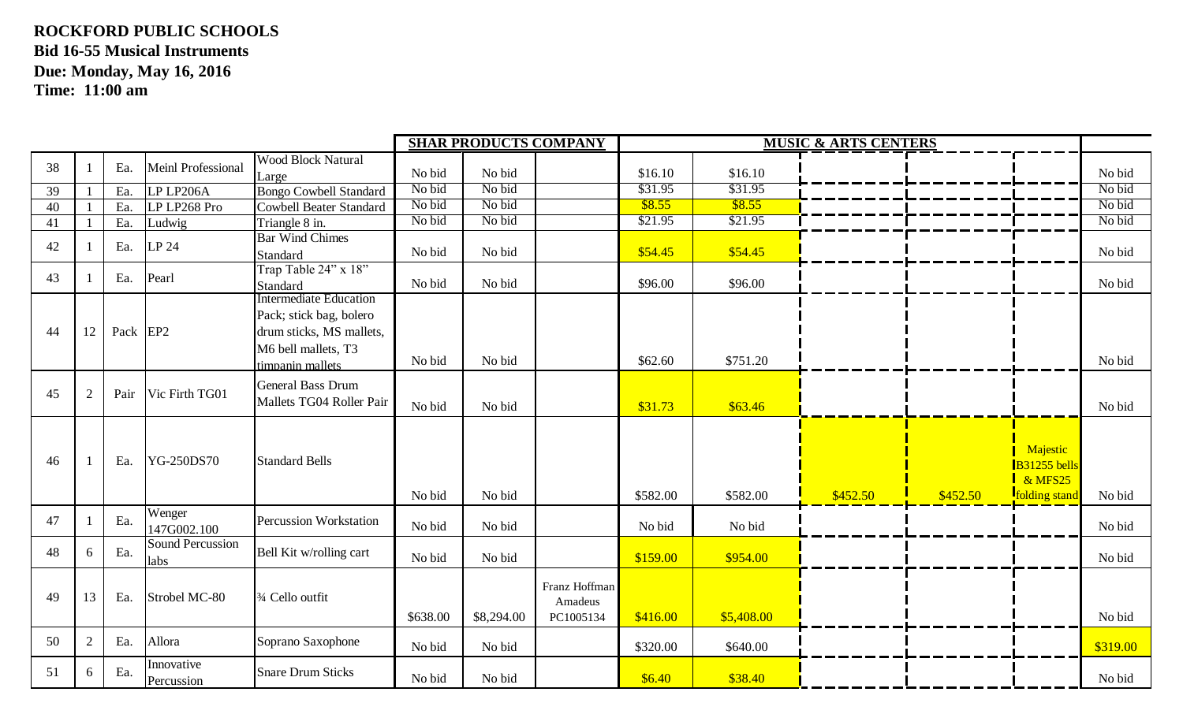|    |    |          |                                 |                                                                                                                                 |                  | <b>SHAR PRODUCTS COMPANY</b> |                                       | <b>MUSIC &amp; ARTS CENTERS</b> |                    |          |          |                                                                |                  |  |
|----|----|----------|---------------------------------|---------------------------------------------------------------------------------------------------------------------------------|------------------|------------------------------|---------------------------------------|---------------------------------|--------------------|----------|----------|----------------------------------------------------------------|------------------|--|
| 38 |    | Ea.      | Meinl Professional              | <b>Wood Block Natural</b>                                                                                                       |                  |                              |                                       |                                 |                    |          |          |                                                                |                  |  |
|    |    |          |                                 | Large                                                                                                                           | No bid           | No bid<br>No bid             |                                       | \$16.10<br>\$31.95              | \$16.10<br>\$31.95 |          |          |                                                                | No bid<br>No bid |  |
| 39 |    | Ea.      | LP LP206A                       | <b>Bongo Cowbell Standard</b>                                                                                                   | No bid<br>No bid | No bid                       |                                       | \$8.55                          |                    |          |          |                                                                | No bid           |  |
| 40 |    | Ea.      | LP LP268 Pro                    | <b>Cowbell Beater Standard</b>                                                                                                  |                  |                              |                                       |                                 | \$8.55             |          |          |                                                                |                  |  |
| 41 |    | Ea.      | Ludwig                          | Triangle $8 \text{ in.}$                                                                                                        | No bid           | No bid                       |                                       | \$21.95                         | \$21.95            |          |          |                                                                | No bid           |  |
| 42 |    | Ea.      | LP 24                           | <b>Bar Wind Chimes</b><br>Standard                                                                                              | No bid           | No bid                       |                                       | \$54.45                         | \$54.45            |          |          |                                                                | No bid           |  |
| 43 |    | Ea.      | Pearl                           | Trap Table 24" x 18"<br>Standard                                                                                                | No bid           | No bid                       |                                       | \$96.00                         | \$96.00            |          |          |                                                                | No bid           |  |
| 44 | 12 | Pack EP2 |                                 | <b>Intermediate Education</b><br>Pack; stick bag, bolero<br>drum sticks, MS mallets,<br>M6 bell mallets, T3<br>timpanin mallets | No bid           | No bid                       |                                       | \$62.60                         | \$751.20           |          |          |                                                                | No bid           |  |
| 45 | 2  | Pair     | Vic Firth TG01                  | <b>General Bass Drum</b><br>Mallets TG04 Roller Pair                                                                            | No bid           | No bid                       |                                       | \$31.73                         | \$63.46            |          |          |                                                                | No bid           |  |
| 46 |    | Ea.      | YG-250DS70                      | <b>Standard Bells</b>                                                                                                           | No bid           | No bid                       |                                       | \$582.00                        | \$582.00           | \$452.50 | \$452.50 | Majestic<br>B31255 bells<br>$\&$ MFS25<br><b>folding</b> stand | No bid           |  |
| 47 |    | Ea.      | Wenger<br>147G002.100           | <b>Percussion Workstation</b>                                                                                                   | No bid           | No bid                       |                                       | No bid                          | No bid             |          |          |                                                                | No bid           |  |
| 48 | 6  | Ea.      | <b>Sound Percussion</b><br>labs | Bell Kit w/rolling cart                                                                                                         | No bid           | No bid                       |                                       | \$159.00                        | \$954.00           |          |          |                                                                | No bid           |  |
| 49 | 13 | Ea.      | Strobel MC-80                   | 3/4 Cello outfit                                                                                                                | \$638.00         | \$8,294.00                   | Franz Hoffman<br>Amadeus<br>PC1005134 | \$416.00                        | \$5,408.00         |          |          |                                                                | No bid           |  |
| 50 | 2  | Ea.      | Allora                          | Soprano Saxophone                                                                                                               | No bid           | No bid                       |                                       | \$320.00                        | \$640.00           |          |          |                                                                | \$319.00         |  |
| 51 | 6  | Ea.      | Innovative<br>Percussion        | <b>Snare Drum Sticks</b>                                                                                                        | No bid           | No bid                       |                                       | \$6.40                          | \$38.40            |          |          |                                                                | No bid           |  |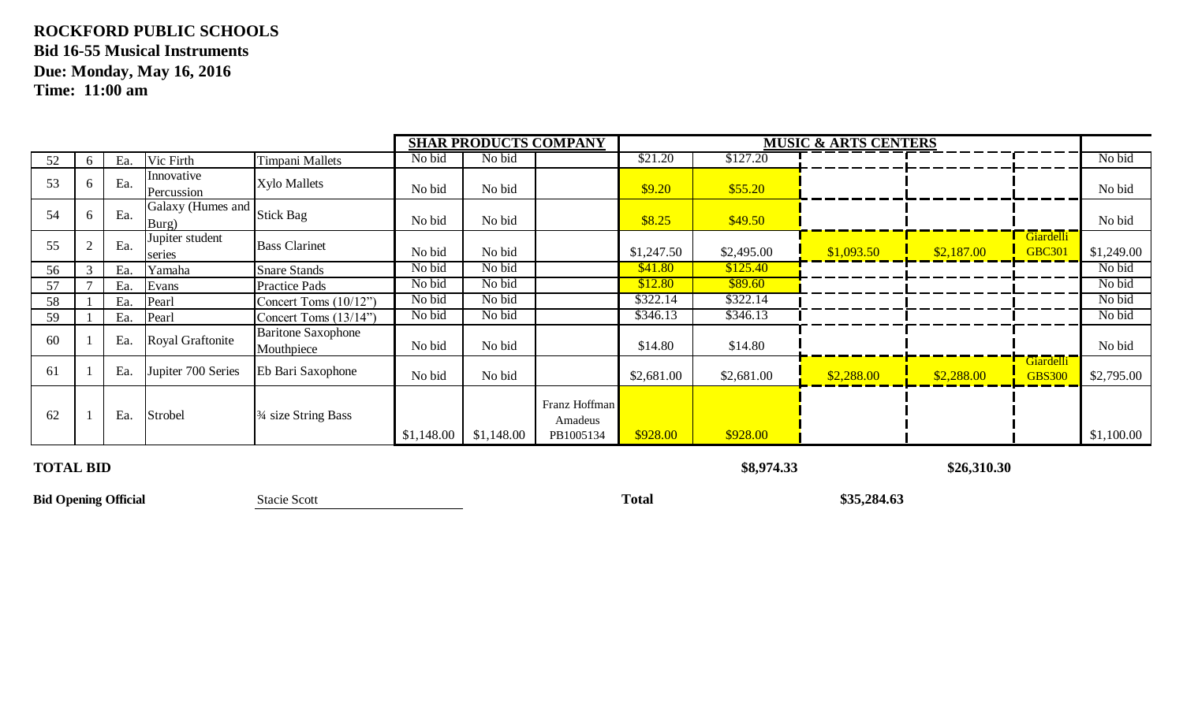|    |              |     |                            |                                              |            | <b>SHAR PRODUCTS COMPANY</b> |                                       |            | <b>MUSIC &amp; ARTS CENTERS</b> |            |            |                                        |            |
|----|--------------|-----|----------------------------|----------------------------------------------|------------|------------------------------|---------------------------------------|------------|---------------------------------|------------|------------|----------------------------------------|------------|
| 52 | 6            | Ea. | Vic Firth                  | Timpani Mallets                              | No bid     | No bid                       |                                       | \$21.20    | \$127.20                        |            |            |                                        | No bid     |
| 53 | $\sigma$     | Ea. | Innovative<br>Percussion   | <b>Xylo Mallets</b>                          | No bid     | No bid                       |                                       | \$9.20     | \$55.20                         |            |            |                                        | No bid     |
| 54 | <sub>0</sub> | Ea. | Galaxy (Humes and<br>Burg) | Stick Bag                                    | No bid     | No bid                       |                                       | \$8.25     | \$49.50                         |            |            |                                        | No bid     |
| 55 |              | Ea. | Jupiter student<br>series  | <b>Bass Clarinet</b>                         | No bid     | No bid                       |                                       | \$1,247.50 | \$2,495.00                      | \$1,093.50 | \$2,187.00 | <b>Giardelli</b><br><b>GBC30</b>       | \$1,249.00 |
| 56 |              | Ea  | Yamaha                     | <b>Snare Stands</b>                          | No bid     | No bid                       |                                       | \$41.80    | \$125.40                        |            |            |                                        | No bid     |
| 57 |              | Ea. | Evans                      | Practice Pads                                | No bid     | No bid                       |                                       | \$12.80    | \$89.60                         |            |            |                                        | No bid     |
| 58 |              | Ea. | Pearl                      | Concert Toms (10/12")                        | No bid     | No bid                       |                                       | \$322.14   | \$322.14                        |            |            |                                        | No bid     |
| 59 |              | Ea. | Pearl                      | Concert Toms (13/14")                        | No bid     | No bid                       |                                       | \$346.13   | \$346.13                        |            |            |                                        | No bid     |
| 60 |              | Ea. | Royal Graftonite           | <b>Baritone Saxophone</b><br>Mouthpiece      | No bid     | No bid                       |                                       | \$14.80    | \$14.80                         |            |            |                                        | No bid     |
| 61 |              | Ea. | Jupiter 700 Series         | Eb Bari Saxophone                            | No bid     | No bid                       |                                       | \$2,681.00 | \$2,681.00                      | \$2,288.00 | \$2,288.00 | Giardelli <sup>-</sup><br><b>GBS30</b> | \$2,795.00 |
| 62 |              | Ea. | Strobel                    | <sup>3</sup> / <sub>4</sub> size String Bass | \$1,148.00 | \$1,148.00                   | Franz Hoffman<br>Amadeus<br>PB1005134 | \$928.00   | \$928.00                        |            |            |                                        | \$1,100.00 |

#### **TOTAL BID \$8,974.33 \$26,310.30**

**Bid Opening Official** Stacie Scott **Total Stacie Scott Total \$35,284.63**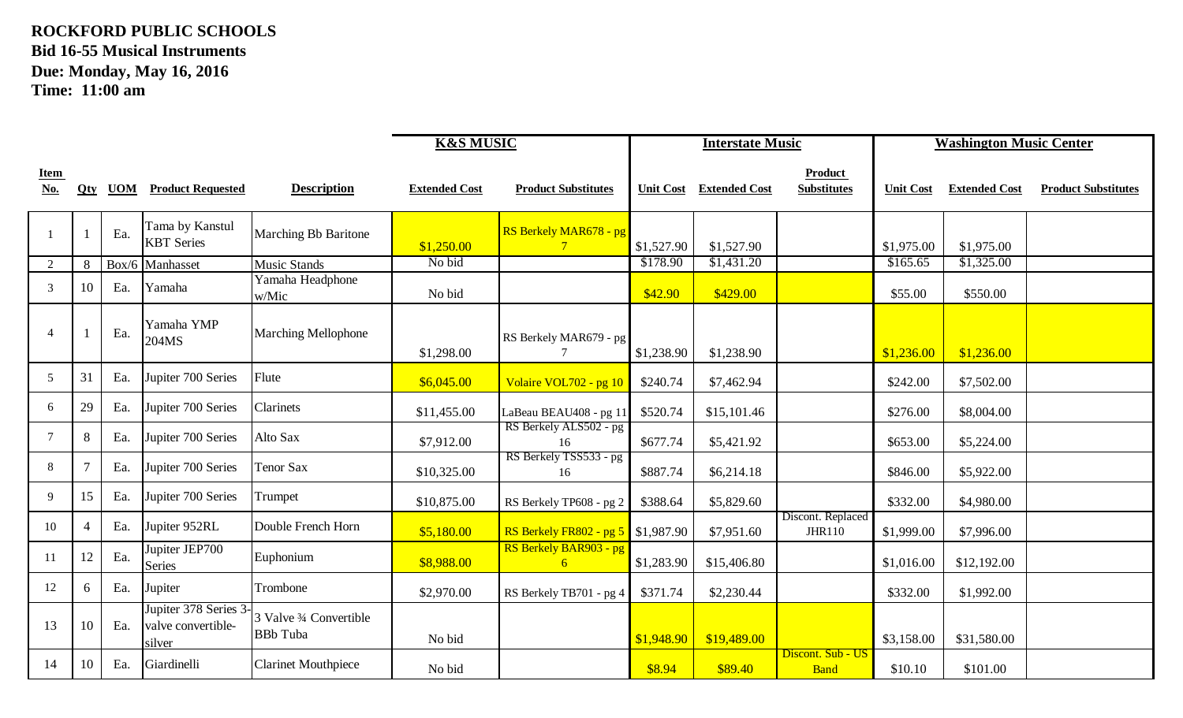|                           |    |     |                                                       |                                            | <b>K&amp;S MUSIC</b> |                                           | <b>Interstate Music</b> |                      |                                      |                  | <b>Washington Music Center</b> |                            |
|---------------------------|----|-----|-------------------------------------------------------|--------------------------------------------|----------------------|-------------------------------------------|-------------------------|----------------------|--------------------------------------|------------------|--------------------------------|----------------------------|
| <b>Item</b><br><b>No.</b> |    |     | <b>Qty UOM Product Requested</b>                      | <b>Description</b>                         | <b>Extended Cost</b> | <b>Product Substitutes</b>                | <b>Unit Cost</b>        | <b>Extended Cost</b> | <b>Product</b><br><b>Substitutes</b> | <b>Unit Cost</b> | <b>Extended Cost</b>           | <b>Product Substitutes</b> |
|                           |    | Ea. | Tama by Kanstul<br><b>KBT</b> Series                  | <b>Marching Bb Baritone</b>                | \$1,250.00           | RS Berkely MAR678 - pg<br>$7\phantom{.0}$ | \$1,527.90              | \$1,527.90           |                                      | \$1,975.00       | \$1,975.00                     |                            |
| $\overline{2}$            | 8  |     | Box/6 Manhasset                                       | <b>Music Stands</b>                        | No bid               |                                           | \$178.90                | \$1,431.20           |                                      | \$165.65         | \$1,325.00                     |                            |
| 3                         | 10 | Ea. | Yamaha                                                | Yamaha Headphone<br>w/Mic                  | No bid               |                                           | \$42.90                 | \$429.00             |                                      | \$55.00          | \$550.00                       |                            |
| $\overline{4}$            |    | Ea. | Yamaha YMP<br>204MS                                   | <b>Marching Mellophone</b>                 | \$1,298.00           | RS Berkely MAR679 - pg<br>$\tau$          | \$1,238.90              | \$1,238.90           |                                      | \$1,236.00       | \$1,236.00                     |                            |
| 5                         | 31 | Ea. | Jupiter 700 Series                                    | Flute                                      | \$6,045.00           | Volaire VOL702 - pg 10                    | \$240.74                | \$7,462.94           |                                      | \$242.00         | \$7,502.00                     |                            |
| 6                         | 29 | Ea. | Jupiter 700 Series                                    | Clarinets                                  | \$11,455.00          | LaBeau BEAU408 - pg 11                    | \$520.74                | \$15,101.46          |                                      | \$276.00         | \$8,004.00                     |                            |
| 7                         | 8  | Ea. | Jupiter 700 Series                                    | Alto Sax                                   | \$7,912.00           | RS Berkely ALS502 - pg<br>16              | \$677.74                | \$5,421.92           |                                      | \$653.00         | \$5,224.00                     |                            |
| 8                         |    | Ea. | Jupiter 700 Series                                    | Tenor Sax                                  | \$10,325.00          | RS Berkely TSS533 - pg<br>16              | \$887.74                | \$6,214.18           |                                      | \$846.00         | \$5,922.00                     |                            |
| 9                         | 15 | Ea. | Jupiter 700 Series                                    | Trumpet                                    | \$10,875.00          | RS Berkely TP608 - pg 2                   | \$388.64                | \$5,829.60           |                                      | \$332.00         | \$4,980.00                     |                            |
| 10                        |    | Ea. | Jupiter 952RL                                         | Double French Horn                         | \$5,180.00           | <b>RS Berkely FR802 - pg 5</b> \$1,987.90 |                         | \$7,951.60           | Discont. Replaced<br>JHR110          | \$1,999.00       | \$7,996.00                     |                            |
| 11                        | 12 | Ea. | Jupiter JEP700<br><b>Series</b>                       | Euphonium                                  | \$8,988.00           | RS Berkely BAR903 - pg<br>6               | \$1,283.90              | \$15,406.80          |                                      | \$1,016.00       | \$12,192.00                    |                            |
| 12                        | 6  | Ea. | Jupiter                                               | Trombone                                   | \$2,970.00           | RS Berkely TB701 - pg 4                   | \$371.74                | \$2,230.44           |                                      | \$332.00         | \$1,992.00                     |                            |
| 13                        | 10 | Ea. | Jupiter 378 Series 3-<br>valve convertible-<br>silver | 3 Valve 3⁄4 Convertible<br><b>BBb</b> Tuba | No bid               |                                           | \$1,948.90              | \$19,489.00          |                                      | \$3,158.00       | \$31,580.00                    |                            |
| 14                        | 10 | Ea. | Giardinelli                                           | <b>Clarinet Mouthpiece</b>                 | No bid               |                                           | \$8.94                  | \$89.40              | Discont. Sub - US<br><b>Band</b>     | \$10.10          | \$101.00                       |                            |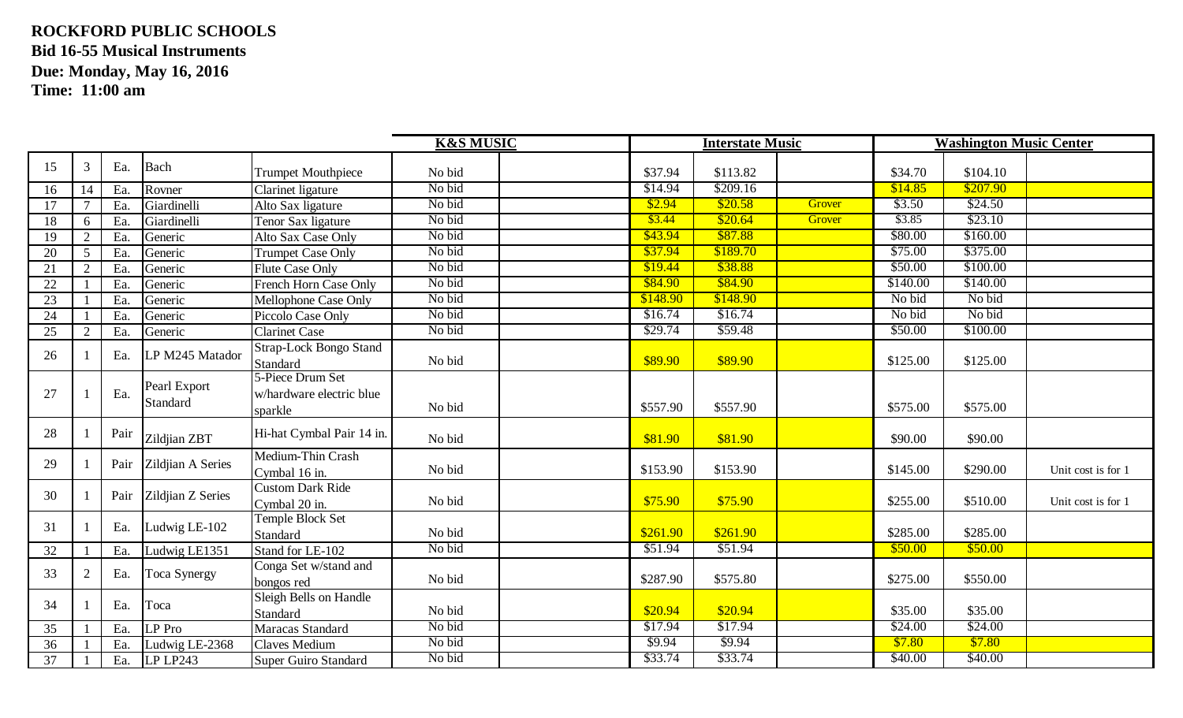|    |    |      |                          |                                                         | <b>K&amp;S MUSIC</b> |          | <b>Interstate Music</b> |        |          | <b>Washington Music Center</b> |                    |
|----|----|------|--------------------------|---------------------------------------------------------|----------------------|----------|-------------------------|--------|----------|--------------------------------|--------------------|
| 15 | 3  | Ea.  | Bach                     | <b>Trumpet Mouthpiece</b>                               | No bid               | \$37.94  | \$113.82                |        | \$34.70  | \$104.10                       |                    |
| 16 | 14 | Ea.  | Rovner                   | Clarinet ligature                                       | No bid               | \$14.94  | \$209.16                |        | \$14.85  | \$207.90                       |                    |
| 17 |    | Ea.  | Giardinelli              | Alto Sax ligature                                       | No bid               | \$2.94   | \$20.58                 | Grover | \$3.50   | \$24.50                        |                    |
| 18 | 6  | Ea.  | Giardinelli              | Tenor Sax ligature                                      | No bid               | \$3.44   | \$20.64                 | Grover | \$3.85   | \$23.10                        |                    |
| 19 |    | Ea.  | Generic                  | Alto Sax Case Only                                      | No bid               | \$43.94  | \$87.88                 |        | \$80.00  | \$160.00                       |                    |
| 20 | 5  | Ea.  | Generic                  | <b>Trumpet Case Only</b>                                | No bid               | \$37.94  | \$189.70                |        | \$75.00  | \$375.00                       |                    |
| 21 |    | Ea.  | Generic                  | <b>Flute Case Only</b>                                  | No bid               | \$19.44  | \$38.88                 |        | \$50.00  | \$100.00                       |                    |
| 22 |    | Ea.  | Generic                  | French Horn Case Only                                   | No bid               | \$84.90  | \$84.90                 |        | \$140.00 | \$140.00                       |                    |
| 23 |    | Ea.  | Generic                  | Mellophone Case Only                                    | No bid               | \$148.90 | \$148.90                |        | No bid   | No bid                         |                    |
| 24 |    | Ea.  | Generic                  | Piccolo Case Only                                       | No bid               | \$16.74  | \$16.74                 |        | No bid   | No bid                         |                    |
| 25 | 2  | Ea.  | Generic                  | <b>Clarinet Case</b>                                    | No bid               | \$29.74  | \$59.48                 |        | \$50.00  | \$100.00                       |                    |
| 26 |    | Ea.  | LP M245 Matador          | Strap-Lock Bongo Stand<br>Standard                      | No bid               | \$89.90  | \$89.90                 |        | \$125.00 | \$125.00                       |                    |
| 27 |    | Ea.  | Pearl Export<br>Standard | 5-Piece Drum Set<br>w/hardware electric blue<br>sparkle | No bid               | \$557.90 | \$557.90                |        | \$575.00 | \$575.00                       |                    |
| 28 |    | Pair | Zildjian ZBT             | Hi-hat Cymbal Pair 14 in.                               | No bid               | \$81.90  | \$81.90                 |        | \$90.00  | \$90.00                        |                    |
| 29 |    | Pair | Zildjian A Series        | Medium-Thin Crash<br>Cymbal 16 in.                      | No bid               | \$153.90 | \$153.90                |        | \$145.00 | \$290.00                       | Unit cost is for 1 |
| 30 |    | Pair | Zildjian Z Series        | <b>Custom Dark Ride</b><br>Cymbal 20 in.                | No bid               | \$75.90  | \$75.90                 |        | \$255.00 | \$510.00                       | Unit cost is for 1 |
| 31 |    | Ea.  | Ludwig LE-102            | <b>Temple Block Set</b><br>Standard                     | No bid               | \$261.90 | \$261.90                |        | \$285.00 | \$285.00                       |                    |
| 32 |    | Ea.  | Ludwig LE1351            | Stand for LE-102                                        | No bid               | \$51.94  | \$51.94                 |        | \$50.00  | \$50.00                        |                    |
| 33 |    | Ea.  | <b>Toca Synergy</b>      | Conga Set w/stand and<br>bongos red                     | No bid               | \$287.90 | \$575.80                |        | \$275.00 | \$550.00                       |                    |
| 34 |    | Ea.  | Toca                     | Sleigh Bells on Handle<br>Standard                      | No bid               | \$20.94  | \$20.94                 |        | \$35.00  | \$35.00                        |                    |
| 35 |    | Ea.  | LP Pro                   | Maracas Standard                                        | No bid               | \$17.94  | \$17.94                 |        | \$24.00  | \$24.00                        |                    |
| 36 |    | Ea.  | Ludwig LE-2368           | Claves Medium                                           | No bid               | \$9.94   | \$9.94                  |        | \$7.80   | \$7.80                         |                    |
| 37 |    | Ea.  | LP LP243                 | Super Guiro Standard                                    | No bid               | \$33.74  | \$33.74                 |        | \$40.00  | \$40.00                        |                    |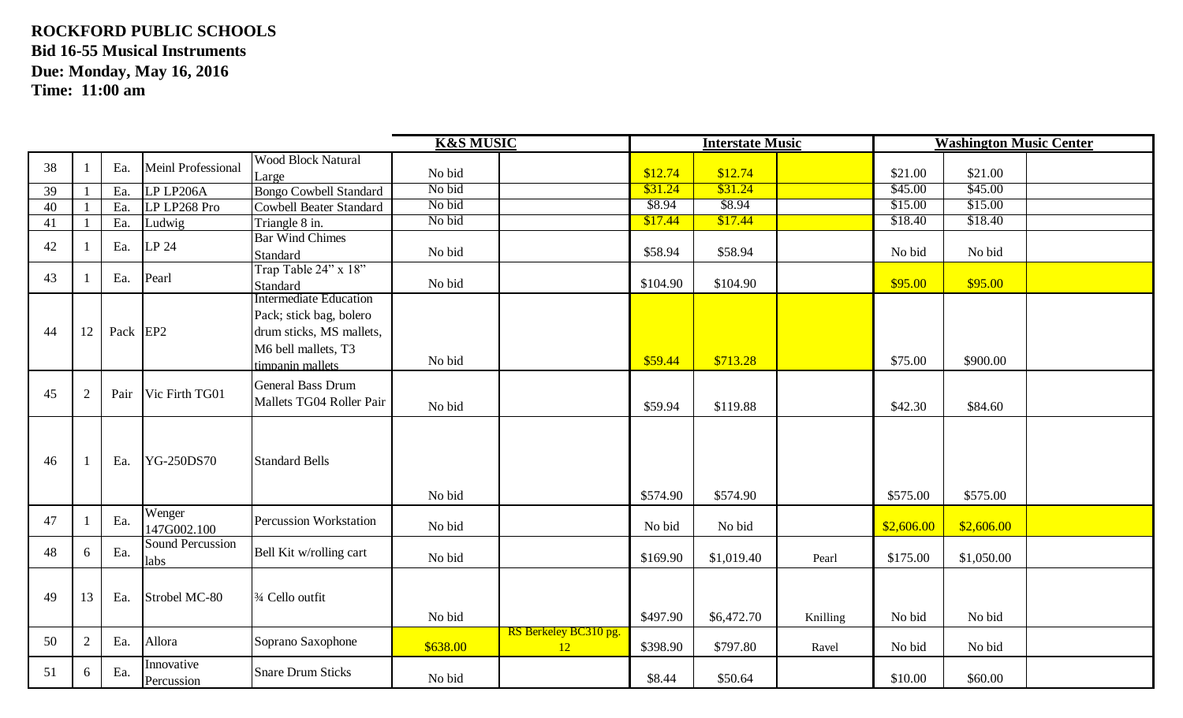|    |    |          |                                 |                                                                                                                                 | <b>K&amp;S MUSIC</b> |                                    |          | <b>Interstate Music</b> |          |            | <b>Washington Music Center</b> |  |
|----|----|----------|---------------------------------|---------------------------------------------------------------------------------------------------------------------------------|----------------------|------------------------------------|----------|-------------------------|----------|------------|--------------------------------|--|
| 38 |    | Ea.      | <b>Meinl Professional</b>       | <b>Wood Block Natural</b>                                                                                                       |                      |                                    |          |                         |          |            |                                |  |
|    |    |          |                                 | Large                                                                                                                           | No bid               |                                    | \$12.74  | \$12.74                 |          | \$21.00    | \$21.00                        |  |
| 39 |    | Ea.      | LP LP206A                       | <b>Bongo Cowbell Standard</b>                                                                                                   | No bid               |                                    | \$31.24  | \$31.24                 |          | \$45.00    | \$45.00                        |  |
| 40 |    | Ea.      | LP LP268 Pro                    | Cowbell Beater Standard                                                                                                         | No bid               |                                    | \$8.94   | \$8.94                  |          | \$15.00    | \$15.00                        |  |
| 41 |    | Ea.      | Ludwig                          | Triangle 8 in.                                                                                                                  | No bid               |                                    | \$17.44  | \$17.44                 |          | \$18.40    | \$18.40                        |  |
| 42 |    | Ea.      | LP 24                           | <b>Bar Wind Chimes</b><br>Standard                                                                                              | No bid               |                                    | \$58.94  | \$58.94                 |          | No bid     | No bid                         |  |
| 43 |    | Ea.      | Pearl                           | Trap Table 24" x 18"<br>Standard                                                                                                | No bid               |                                    | \$104.90 | \$104.90                |          | \$95.00    | \$95.00                        |  |
| 44 | 12 | Pack EP2 |                                 | <b>Intermediate Education</b><br>Pack; stick bag, bolero<br>drum sticks, MS mallets,<br>M6 bell mallets, T3<br>timpanin mallets | No bid               |                                    | \$59.44  | \$713.28                |          | \$75.00    | \$900.00                       |  |
| 45 | 2  | Pair     | Vic Firth TG01                  | General Bass Drum<br>Mallets TG04 Roller Pair                                                                                   | No bid               |                                    | \$59.94  | \$119.88                |          | \$42.30    | \$84.60                        |  |
| 46 |    | Ea.      | <b>YG-250DS70</b>               | <b>Standard Bells</b>                                                                                                           | No bid               |                                    | \$574.90 | \$574.90                |          | \$575.00   | \$575.00                       |  |
| 47 |    | Ea.      | Wenger<br>147G002.100           | Percussion Workstation                                                                                                          | No bid               |                                    | No bid   | No bid                  |          | \$2,606.00 | \$2,606.00                     |  |
| 48 | 6  | Ea.      | <b>Sound Percussion</b><br>labs | Bell Kit w/rolling cart                                                                                                         | No bid               |                                    | \$169.90 | \$1,019.40              | Pearl    | \$175.00   | \$1,050.00                     |  |
| 49 | 13 | Ea.      | Strobel MC-80                   | 3/4 Cello outfit                                                                                                                | No bid               |                                    | \$497.90 | \$6,472.70              | Knilling | No bid     | No bid                         |  |
| 50 | 2  | Ea.      | Allora                          | Soprano Saxophone                                                                                                               | \$638.00             | RS Berkeley BC310 pg.<br><b>12</b> | \$398.90 | \$797.80                | Ravel    | No bid     | No bid                         |  |
| 51 | 6  | Ea.      | Innovative<br>Percussion        | <b>Snare Drum Sticks</b>                                                                                                        | No bid               |                                    | \$8.44   | \$50.64                 |          | \$10.00    | \$60.00                        |  |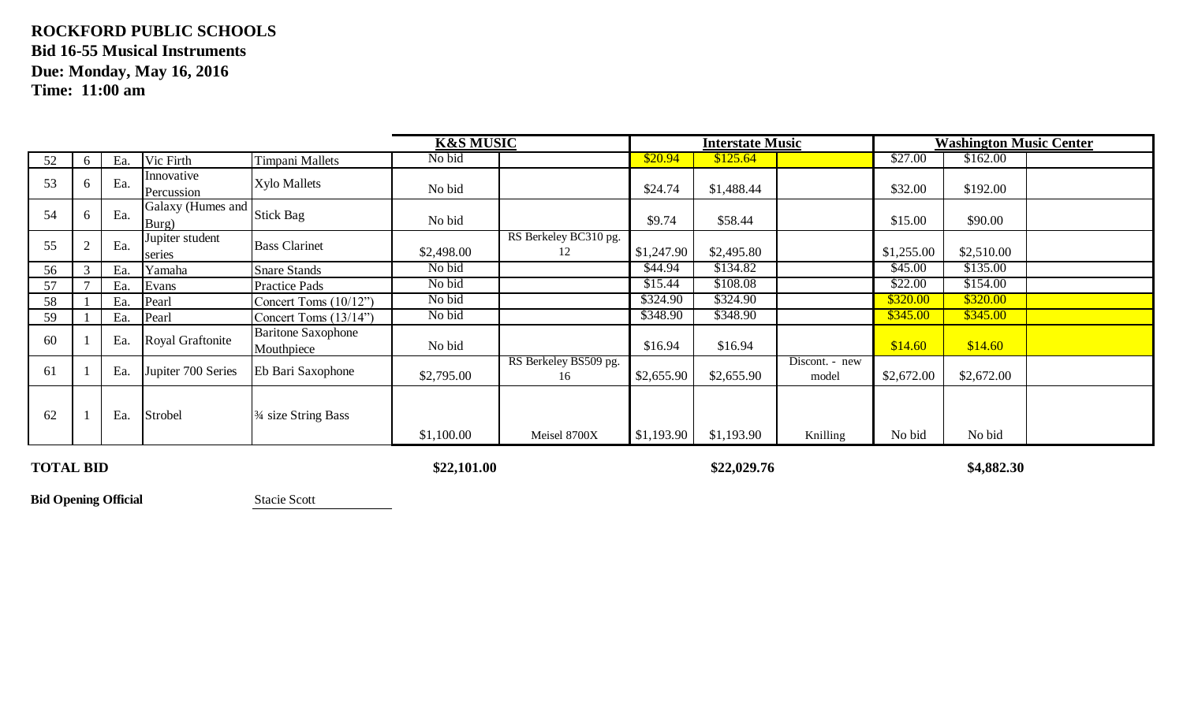|    |              |     |                            |                                              | <b>K&amp;S MUSIC</b> |                             |            | <b>Interstate Music</b> |                         |            | <b>Washington Music Center</b> |  |
|----|--------------|-----|----------------------------|----------------------------------------------|----------------------|-----------------------------|------------|-------------------------|-------------------------|------------|--------------------------------|--|
| 52 | 6            | Ea. | Vic Firth                  | <b>Timpani Mallets</b>                       | No bid               |                             | \$20.94    | \$125.64                |                         | \$27.00    | \$162.00                       |  |
| 53 | <sub>0</sub> | Ea. | Innovative<br>Percussion   | <b>Xylo Mallets</b>                          | No bid               |                             | \$24.74    | \$1,488.44              |                         | \$32.00    | \$192.00                       |  |
| 54 | 6            | Ea. | Galaxy (Humes and<br>Burg) | <b>Stick Bag</b>                             | No bid               |                             | \$9.74     | \$58.44                 |                         | \$15.00    | \$90.00                        |  |
| 55 |              | Ea. | Jupiter student<br>series  | <b>Bass Clarinet</b>                         | \$2,498.00           | RS Berkeley BC310 pg.<br>12 | \$1,247.90 | \$2,495.80              |                         | \$1,255.00 | \$2,510.00                     |  |
| 56 |              | Ea. | Yamaha                     | <b>Snare Stands</b>                          | No bid               |                             | \$44.94    | \$134.82                |                         | \$45.00    | \$135.00                       |  |
| 57 |              | Ea. | Evans                      | <b>Practice Pads</b>                         | No bid               |                             | \$15.44    | \$108.08                |                         | \$22.00    | \$154.00                       |  |
| 58 |              | Ea. | Pearl                      | Concert Toms (10/12")                        | No bid               |                             | \$324.90   | \$324.90                |                         | \$320.00   | \$320.00                       |  |
| 59 |              | Ea. | Pearl                      | Concert Toms (13/14")                        | No bid               |                             | \$348.90   | \$348.90                |                         | \$345.00   | \$345.00                       |  |
| 60 |              | Ea. | Royal Graftonite           | <b>Baritone Saxophone</b><br>Mouthpiece      | No bid               |                             | \$16.94    | \$16.94                 |                         | \$14.60    | \$14.60                        |  |
| 61 |              | Ea. | Jupiter 700 Series         | Eb Bari Saxophone                            | \$2,795.00           | RS Berkeley BS509 pg.<br>16 | \$2,655.90 | \$2,655.90              | Discont. - new<br>model | \$2,672.00 | \$2,672.00                     |  |
| 62 |              | Ea. | Strobel                    | <sup>3</sup> / <sub>4</sub> size String Bass | \$1,100.00           | Meisel 8700X                | \$1,193.90 | \$1,193.90              | Knilling                | No bid     | No bid                         |  |

**TOTAL BID**

**\$22,101.00 \$22,029.76 \$4,882.30**

**Bid Opening Official** Stacie Scott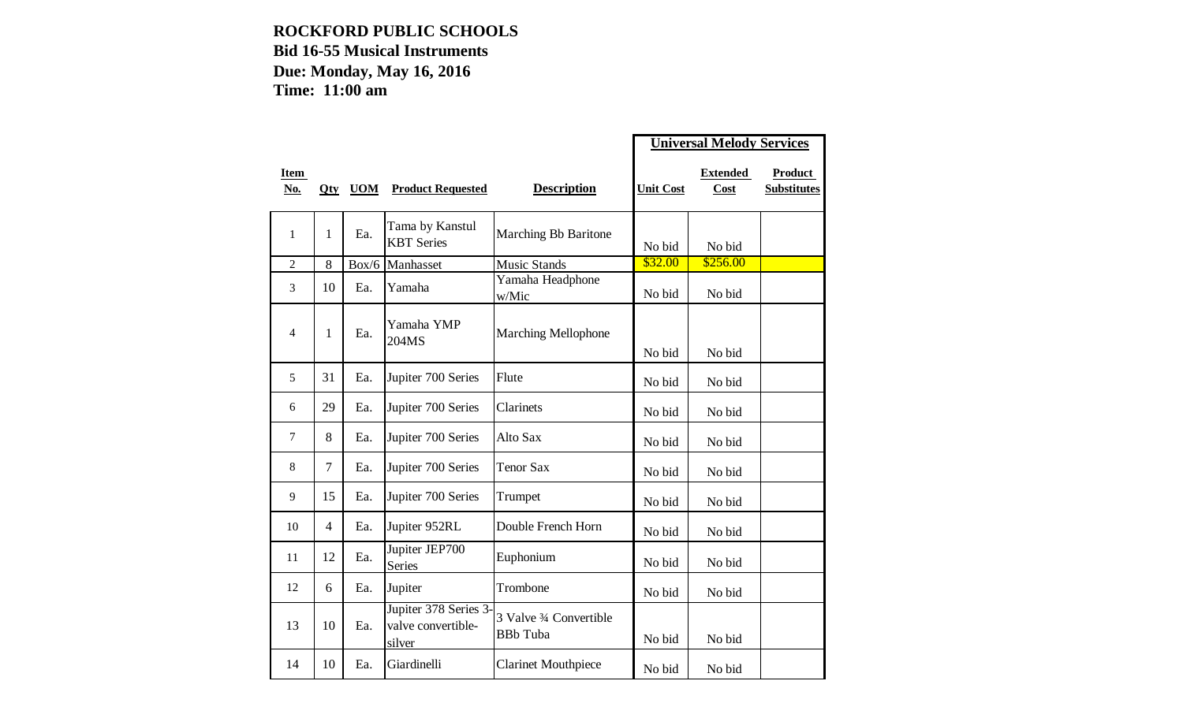|                    |                |            |                                                       |                                            | <b>Universal Melody Services</b> |                         |                               |
|--------------------|----------------|------------|-------------------------------------------------------|--------------------------------------------|----------------------------------|-------------------------|-------------------------------|
| <b>Item</b><br>No. | Qty            | <b>UOM</b> | <b>Product Requested</b>                              | <b>Description</b>                         | <b>Unit Cost</b>                 | <b>Extended</b><br>Cost | Product<br><b>Substitutes</b> |
| 1                  | $\mathbf{1}$   | Ea.        | Tama by Kanstul<br><b>KBT</b> Series                  | Marching Bb Baritone                       | No bid                           | No bid                  |                               |
| $\overline{2}$     | 8              | Box/6      | Manhasset                                             | <b>Music Stands</b>                        | \$32.00                          | \$256.00                |                               |
| 3                  | 10             | Ea.        | Yamaha                                                | Yamaha Headphone<br>w/Mic                  | No bid                           | No bid                  |                               |
| 4                  | $\mathbf{1}$   | Ea.        | Yamaha YMP<br>204MS                                   | <b>Marching Mellophone</b>                 | No bid                           | No bid                  |                               |
| 5                  | 31             | Ea.        | Jupiter 700 Series                                    | Flute                                      | No bid                           | No bid                  |                               |
| 6                  | 29             | Ea.        | Jupiter 700 Series                                    | Clarinets                                  | No bid                           | No bid                  |                               |
| $\overline{7}$     | 8              | Ea.        | Jupiter 700 Series                                    | Alto Sax                                   | No bid                           | No bid                  |                               |
| 8                  | $\overline{7}$ | Ea.        | Jupiter 700 Series                                    | <b>Tenor Sax</b>                           | No bid                           | No bid                  |                               |
| $\overline{9}$     | 15             | Ea.        | Jupiter 700 Series                                    | Trumpet                                    | No bid                           | No bid                  |                               |
| 10                 | 4              | Ea.        | Jupiter 952RL                                         | Double French Horn                         | No bid                           | No bid                  |                               |
| 11                 | 12             | Ea.        | Jupiter JEP700<br><b>Series</b>                       | Euphonium                                  | No bid                           | No bid                  |                               |
| 12                 | 6              | Ea.        | Jupiter                                               | Trombone                                   | No bid                           | No bid                  |                               |
| 13                 | 10             | Ea.        | Jupiter 378 Series 3-<br>valve convertible-<br>silver | 3 Valve 3/4 Convertible<br><b>BBb</b> Tuba | No bid                           | No bid                  |                               |
| 14                 | 10             | Ea.        | Giardinelli                                           | <b>Clarinet Mouthpiece</b>                 | No bid                           | No bid                  |                               |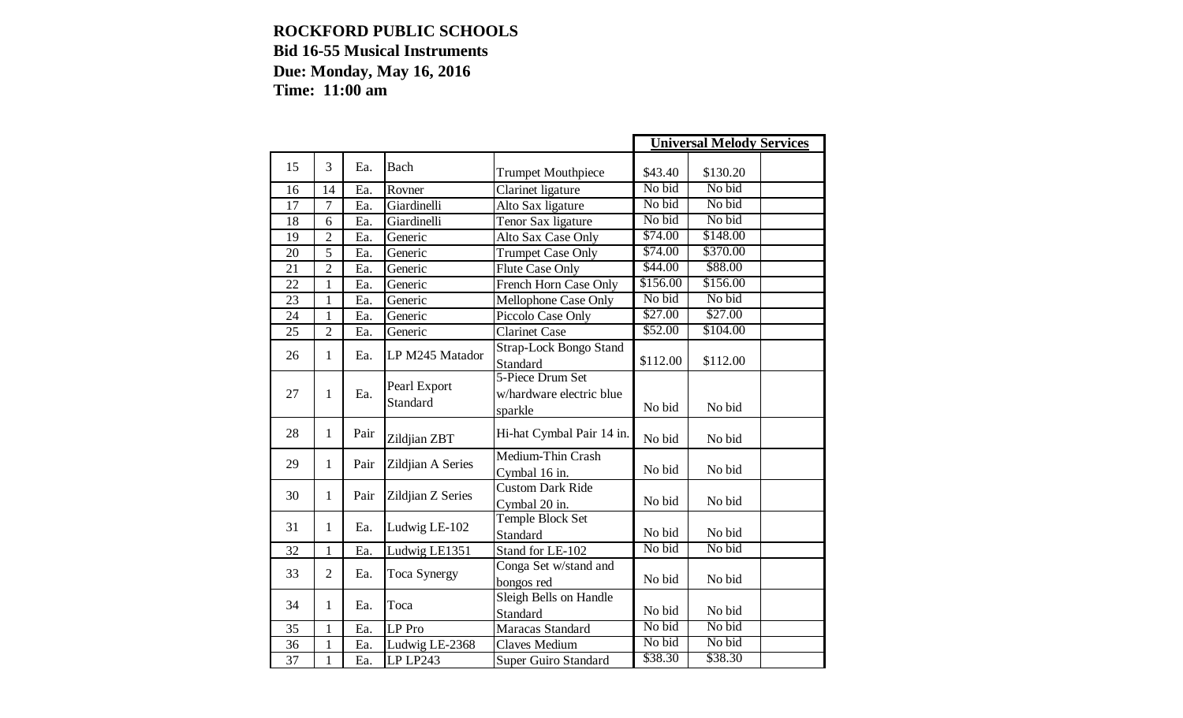|    |                |      |                          |                                                         |          | <b>Universal Melody Services</b> |  |
|----|----------------|------|--------------------------|---------------------------------------------------------|----------|----------------------------------|--|
| 15 | 3              | Ea.  | Bach                     | <b>Trumpet Mouthpiece</b>                               | \$43.40  | \$130.20                         |  |
| 16 | 14             | Ea.  | Rovner                   | Clarinet ligature                                       | No bid   | No bid                           |  |
| 17 | $\overline{7}$ | Ea.  | Giardinelli              | Alto Sax ligature                                       | No bid   | No bid                           |  |
| 18 | 6              | Ea.  | Giardinelli              | Tenor Sax ligature                                      | No bid   | No bid                           |  |
| 19 | $\overline{2}$ | Ea.  | Generic                  | Alto Sax Case Only                                      | \$74.00  | \$148.00                         |  |
| 20 | 5              | Ea.  | Generic                  | <b>Trumpet Case Only</b>                                | \$74.00  | \$370.00                         |  |
| 21 | $\overline{2}$ | Ea.  | Generic                  | <b>Flute Case Only</b>                                  | \$44.00  | \$88.00                          |  |
| 22 | $\mathbf{1}$   | Ea.  | Generic                  | French Horn Case Only                                   | \$156.00 | \$156.00                         |  |
| 23 | $\mathbf{1}$   | Ea.  | Generic                  | Mellophone Case Only                                    | No bid   | No bid                           |  |
| 24 | $\mathbf{1}$   | Ea.  | Generic                  | Piccolo Case Only                                       | \$27.00  | \$27.00                          |  |
| 25 | $\overline{2}$ | Ea.  | Generic                  | <b>Clarinet Case</b>                                    | \$52.00  | \$104.00                         |  |
| 26 | $\mathbf{1}$   | Ea.  | LP M245 Matador          | <b>Strap-Lock Bongo Stand</b><br>Standard               | \$112.00 | \$112.00                         |  |
| 27 | $\mathbf{1}$   | Ea.  | Pearl Export<br>Standard | 5-Piece Drum Set<br>w/hardware electric blue<br>sparkle | No bid   | No bid                           |  |
| 28 | $\mathbf{1}$   | Pair | Zildjian ZBT             | Hi-hat Cymbal Pair 14 in.                               | No bid   | No bid                           |  |
| 29 | $\mathbf{1}$   | Pair | Zildjian A Series        | Medium-Thin Crash<br>Cymbal 16 in.                      | No bid   | No bid                           |  |
| 30 | 1              | Pair | Zildjian Z Series        | <b>Custom Dark Ride</b><br>Cymbal 20 in.                | No bid   | No bid                           |  |
| 31 | $\mathbf{1}$   | Ea.  | Ludwig LE-102            | Temple Block Set<br>Standard                            | No bid   | No bid                           |  |
| 32 | $\mathbf{1}$   | Ea.  | Ludwig LE1351            | Stand for LE-102                                        | No bid   | No bid                           |  |
| 33 | $\overline{2}$ | Ea.  | Toca Synergy             | Conga Set w/stand and<br>bongos red                     | No bid   | No bid                           |  |
| 34 | $\mathbf{1}$   | Ea.  | Toca                     | Sleigh Bells on Handle<br>Standard                      | No bid   | No bid                           |  |
| 35 | $\mathbf{1}$   | Ea.  | LP Pro                   | Maracas Standard                                        | No bid   | No bid                           |  |
| 36 | 1              | Ea.  | Ludwig LE-2368           | Claves Medium                                           | No bid   | No bid                           |  |
| 37 | $\mathbf{1}$   | Ea.  | LP LP243                 | <b>Super Guiro Standard</b>                             | \$38.30  | \$38.30                          |  |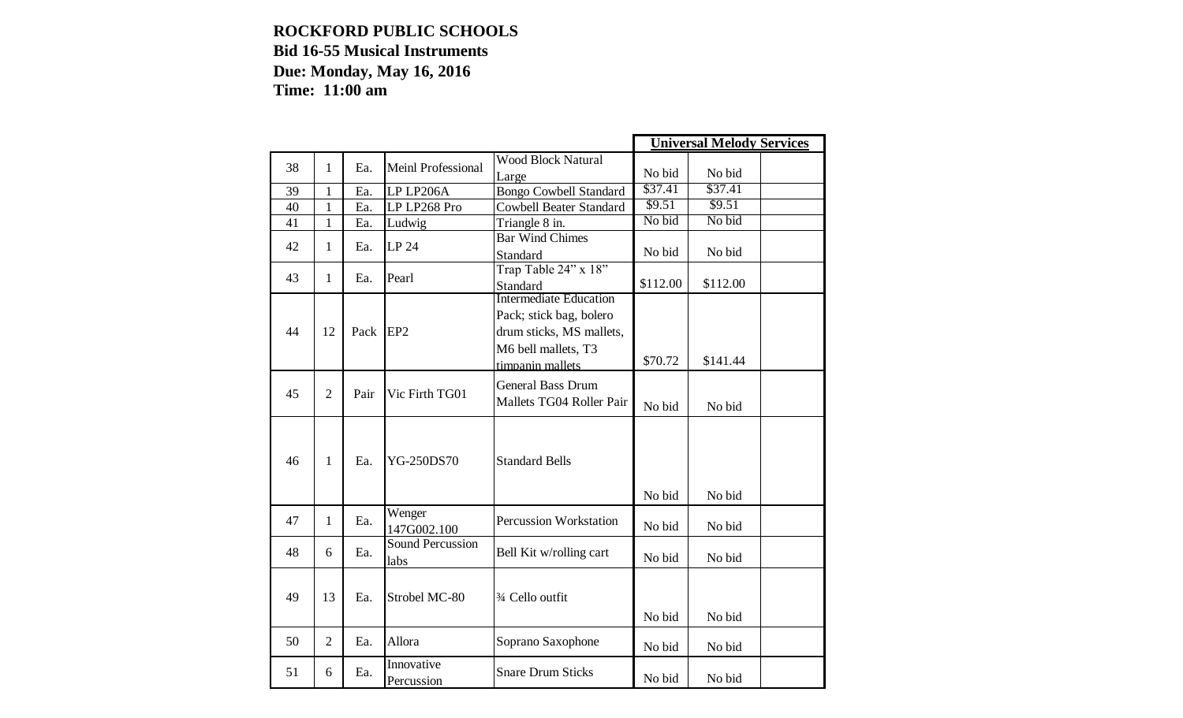|    |                |      |                                 |                                |          | <b>Universal Melody Services</b> |  |
|----|----------------|------|---------------------------------|--------------------------------|----------|----------------------------------|--|
| 38 | 1              | Ea.  | Meinl Professional              | <b>Wood Block Natural</b>      |          |                                  |  |
|    |                |      |                                 | Large                          | No bid   | No bid                           |  |
| 39 | $\mathbf{1}$   | Ea.  | LP LP206A                       | <b>Bongo Cowbell Standard</b>  | \$37.41  | \$37.41                          |  |
| 40 | $\mathbf{1}$   | Ea.  | LP LP268 Pro                    | <b>Cowbell Beater Standard</b> | \$9.51   | \$9.51                           |  |
| 41 | $\mathbf{1}$   | Ea.  | Ludwig                          | Triangle 8 in.                 | No bid   | No bid                           |  |
| 42 | 1              | Ea.  | LP 24                           | <b>Bar Wind Chimes</b>         |          |                                  |  |
|    |                |      |                                 | Standard                       | No bid   | No bid                           |  |
| 43 | 1              | Ea.  | Pearl                           | Trap Table 24" x 18"           |          |                                  |  |
|    |                |      |                                 | Standard                       | \$112.00 | \$112.00                         |  |
|    |                |      |                                 | <b>Intermediate Education</b>  |          |                                  |  |
|    |                |      |                                 | Pack; stick bag, bolero        |          |                                  |  |
| 44 | 12             | Pack | EP <sub>2</sub>                 | drum sticks, MS mallets,       |          |                                  |  |
|    |                |      |                                 | M6 bell mallets, T3            |          |                                  |  |
|    |                |      |                                 | timpanin mallets               | \$70.72  | \$141.44                         |  |
|    |                |      |                                 | <b>General Bass Drum</b>       |          |                                  |  |
| 45 | $\overline{2}$ | Pair | Vic Firth TG01                  | Mallets TG04 Roller Pair       |          |                                  |  |
|    |                |      |                                 |                                | No bid   | No bid                           |  |
| 46 | $\mathbf{1}$   | Ea.  | <b>YG-250DS70</b>               | <b>Standard Bells</b>          |          |                                  |  |
|    |                |      |                                 |                                | No bid   | No bid                           |  |
| 47 | 1              | Ea.  | Wenger<br>147G002.100           | <b>Percussion Workstation</b>  | No bid   | No bid                           |  |
| 48 | 6              | Ea.  | <b>Sound Percussion</b><br>labs | Bell Kit w/rolling cart        | No bid   | No bid                           |  |
| 49 | 13             | Ea.  | Strobel MC-80                   | 3⁄4 Cello outfit               | No bid   | No bid                           |  |
| 50 | $\overline{2}$ | Ea.  | Allora                          | Soprano Saxophone              | No bid   | No bid                           |  |
| 51 | 6              | Ea.  | Innovative<br>Percussion        | <b>Snare Drum Sticks</b>       | No bid   | No bid                           |  |